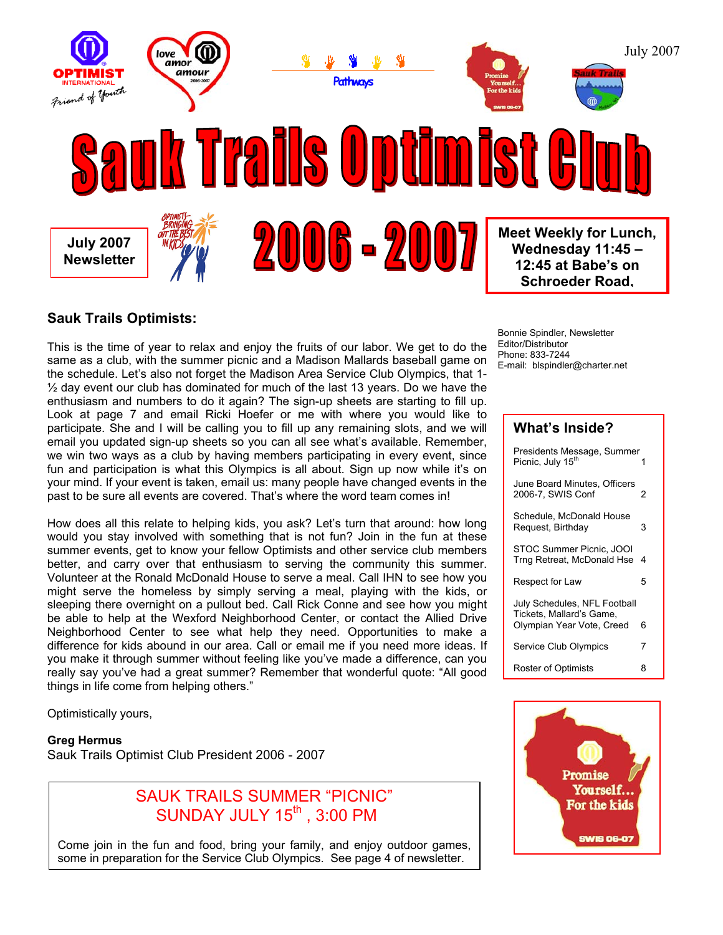

## **Sauk Trails Optimists:**

This is the time of year to relax and enjoy the fruits of our labor. We get to do the same as a club, with the summer picnic and a Madison Mallards baseball game on the schedule. Let's also not forget the Madison Area Service Club Olympics, that 1- ½ day event our club has dominated for much of the last 13 years. Do we have the enthusiasm and numbers to do it again? The sign-up sheets are starting to fill up. Look at page 7 and email Ricki Hoefer or me with where you would like to participate. She and I will be calling you to fill up any remaining slots, and we will email you updated sign-up sheets so you can all see what's available. Remember, we win two ways as a club by having members participating in every event, since fun and participation is what this Olympics is all about. Sign up now while it's on your mind. If your event is taken, email us: many people have changed events in the past to be sure all events are covered. That's where the word team comes in!

How does all this relate to helping kids, you ask? Let's turn that around: how long would you stay involved with something that is not fun? Join in the fun at these summer events, get to know your fellow Optimists and other service club members better, and carry over that enthusiasm to serving the community this summer. Volunteer at the Ronald McDonald House to serve a meal. Call IHN to see how you might serve the homeless by simply serving a meal, playing with the kids, or sleeping there overnight on a pullout bed. Call Rick Conne and see how you might be able to help at the Wexford Neighborhood Center, or contact the Allied Drive Neighborhood Center to see what help they need. Opportunities to make a difference for kids abound in our area. Call or email me if you need more ideas. If you make it through summer without feeling like you've made a difference, can you really say you've had a great summer? Remember that wonderful quote: "All good things in life come from helping others."

Optimistically yours,

**Greg Hermus**

Sauk Trails Optimist Club President 2006 - 2007

## SAUK TRAILS SUMMER "PICNIC" SUNDAY JULY  $15<sup>th</sup>$ , 3:00 PM

Come join in the fun and food, bring your family, and enjoy outdoor games, some in preparation for the Service Club Olympics. See page 4 of newsletter.

Bonnie Spindler, Newsletter Editor/Distributor Phone: 833-7244 E-mail: blspindler@charter.net

#### **What's Inside?**

| Presidents Message, Summer<br>Picnic, July 15 <sup>th</sup>                           |   |
|---------------------------------------------------------------------------------------|---|
| June Board Minutes, Officers<br>2006-7, SWIS Conf                                     | 2 |
| Schedule, McDonald House<br>Request, Birthday                                         | 3 |
| STOC Summer Picnic, JOOI<br>Trng Retreat, McDonald Hse                                | 4 |
| Respect for Law                                                                       | 5 |
| July Schedules, NFL Football<br>Tickets, Mallard's Game,<br>Olympian Year Vote, Creed | 6 |
| Service Club Olympics                                                                 | 7 |
| Roster of Optimists                                                                   | 8 |

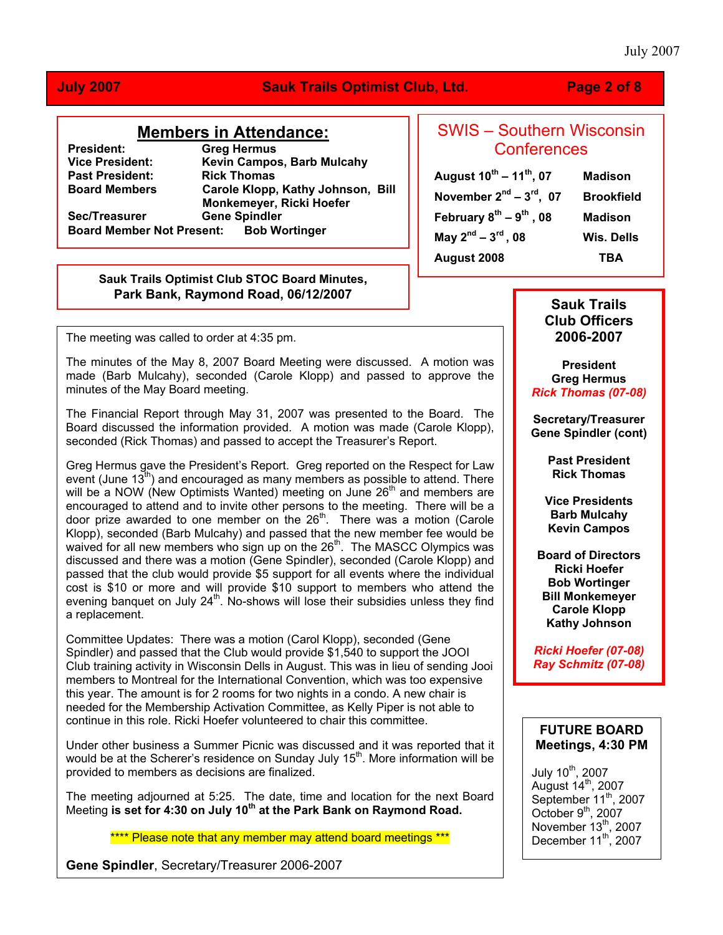### July 2007

## **July 2007 Sauk Trails Optimist Club, Ltd. Page 2 of 8**

#### **Members in Attendance:**

**Past President:<br>Board Members** 

**President:** Greg Hermus<br> **Vice President:** Kevin Campos **Kevin Campos, Barb Mulcahy<br>Rick Thomas Carole Klopp, Kathy Johnson, Bill Monkemeyer, Ricki Hoefer Sec/Treasurer Gene Spindler Board Member Not Present: Bob Wortinger** 

#### **Sauk Trails Optimist Club STOC Board Minutes, Park Bank, Raymond Road, 06/12/2007**

The meeting was called to order at 4:35 pm.

The minutes of the May 8, 2007 Board Meeting were discussed. A motion was made (Barb Mulcahy), seconded (Carole Klopp) and passed to approve the minutes of the May Board meeting.

The Financial Report through May 31, 2007 was presented to the Board. The Board discussed the information provided. A motion was made (Carole Klopp), seconded (Rick Thomas) and passed to accept the Treasurer's Report.

Greg Hermus gave the President's Report. Greg reported on the Respect for Law event (June  $13<sup>th</sup>$ ) and encouraged as many members as possible to attend. There will be a NOW (New Optimists Wanted) meeting on June 26<sup>th</sup> and members are encouraged to attend and to invite other persons to the meeting. There will be a door prize awarded to one member on the  $26<sup>th</sup>$ . There was a motion (Carole Klopp), seconded (Barb Mulcahy) and passed that the new member fee would be waived for all new members who sign up on the  $26<sup>th</sup>$ . The MASCC Olympics was discussed and there was a motion (Gene Spindler), seconded (Carole Klopp) and passed that the club would provide \$5 support for all events where the individual cost is \$10 or more and will provide \$10 support to members who attend the evening banquet on July  $24<sup>th</sup>$ . No-shows will lose their subsidies unless they find a replacement.

Committee Updates: There was a motion (Carol Klopp), seconded (Gene Spindler) and passed that the Club would provide \$1,540 to support the JOOI Club training activity in Wisconsin Dells in August. This was in lieu of sending Jooi members to Montreal for the International Convention, which was too expensive this year. The amount is for 2 rooms for two nights in a condo. A new chair is needed for the Membership Activation Committee, as Kelly Piper is not able to continue in this role. Ricki Hoefer volunteered to chair this committee.

Under other business a Summer Picnic was discussed and it was reported that it would be at the Scherer's residence on Sunday July  $15<sup>th</sup>$ . More information will be provided to members as decisions are finalized.

The meeting adjourned at 5:25. The date, time and location for the next Board Meeting **is set for 4:30 on July 10th at the Park Bank on Raymond Road.** 

\*\*\*\* Please note that any member may attend board meetings \*\*\*

**Gene Spindler**, Secretary/Treasurer 2006-2007

## SWIS – Southern Wisconsin **Conferences**

| August 10 <sup>th</sup> – 11 <sup>th</sup> , 07 | <b>Madison</b>    |
|-------------------------------------------------|-------------------|
| November $2^{nd}$ – $3^{rd}$ , 07               | <b>Brookfield</b> |
| February $8^{th}$ – $9^{th}$ , 08               | <b>Madison</b>    |
| May $2^{nd} - 3^{rd}$ , 08                      | <b>Wis. Dells</b> |
| August 2008                                     | <b>TBA</b>        |

**Sauk Trails Club Officers 2006-2007** 

**President Greg Hermus** *Rick Thomas (07-08)* 

**Secretary/Treasurer Gene Spindler (cont)** 

> **Past President Rick Thomas**

**Vice Presidents Barb Mulcahy Kevin Campos** 

**Board of Directors Ricki Hoefer Bob Wortinger Bill Monkemeyer Carole Klopp Kathy Johnson** 

*Ricki Hoefer (07-08) Ray Schmitz (07-08)* 

#### **FUTURE BOARD Meetings, 4:30 PM**

July  $10^{th}$ , 2007 August  $14^{\text{th}}$ , 2007 September 11<sup>th</sup>, 2007 October  $9<sup>th</sup>$ , 2007 November  $13^{\text{th}}$ , 2007 December  $11^{th}$ , 2007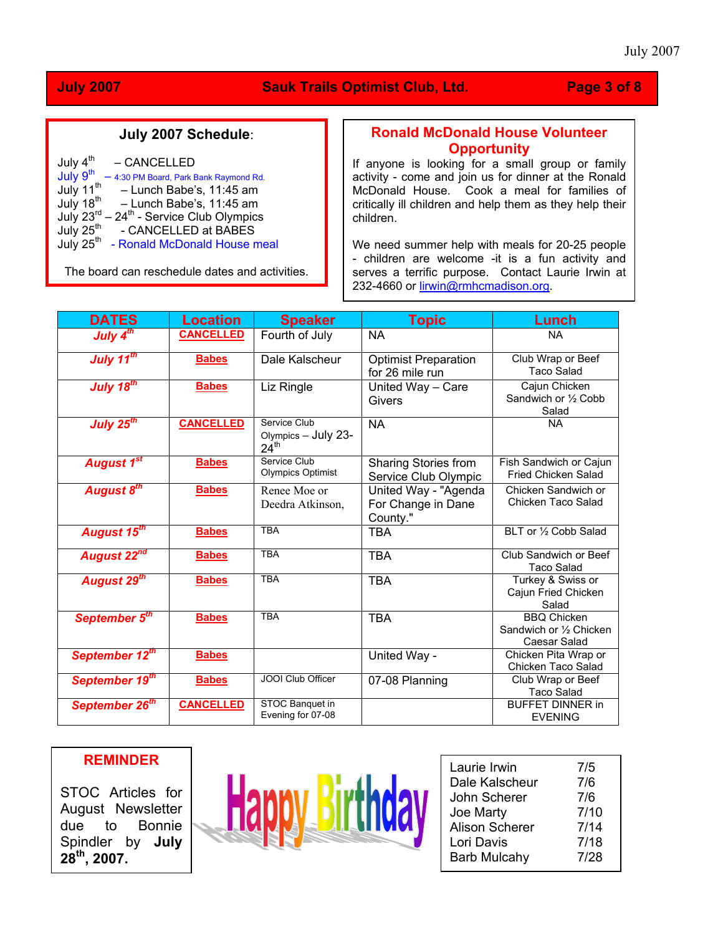July  $4^{\text{th}}$  – CANCELLED<br>July  $9^{\text{th}}$  – 4:30 PM Board, Park B

## **July 2007 Sauk Trails Optimist Club, Ltd. Page 3 of 8**

#### **July 2007 Schedule**:

 $-$  Lunch Babe's, 11:45 am

July  $9^{th}$  – 4:30 PM Board, Park Bank Raymond Rd.<br>July 11<sup>th</sup> – Lunch Babe's, 11:45 am

July  $18^{th}$  – Lunch Babe's, 11:45 am July 23<sup>rd</sup> – 24<sup>th</sup> - Service Club Olympics July 25<sup>th</sup> - CANCELLED at BABES July 25<sup>th</sup> - Ronald McDonald House meal

#### **Ronald McDonald House Volunteer Opportunity**

If anyone is looking for a small group or family activity - come and join us for dinner at the Ronald McDonald House. Cook a meal for families of critically ill children and help them as they help their children.

We need summer help with meals for 20-25 people - children are welcome -it is a fun activity and serves a terrific purpose. Contact Laurie Irwin at 23[2-4660 or lirwin@rmhcma](mailto:lirwin@rmhcmadison.org)dison.org.

**DATES** | Location | Speaker | Topic | Lunch *July 4<sup>th</sup> CANCELLED* Fourth of July NA NA *July 11<sup>th</sup>* **Babes** Dale Kalscheur | Optimist Preparation for 26 mile run Club Wrap or Beef Taco Salad *July 18<sup>th</sup>* **Babes** Liz Ringle | United Way – Care **Givers** Cajun Chicken Sandwich or ½ Cobb Salad *July 25<sup>th</sup> CANCELLED* Service Club Olympics – July 23-  $\frac{24^{\text{th}}}{\text{Service Club}}$ NA NA **August 1st**  Babes Olympics Optimist Sharing Stories from Service Club Olympic Fish Sandwich or Cajun Fried Chicken Salad **August 8<sup>th</sup> <b>Babes** Renee Moe or Deedra Atkinson, United Way - "Agenda For Change in Dane County." Chicken Sandwich or Chicken Taco Salad **August 15<sup>th</sup> Babes** TBA TBA TBA BLT or <sup>1</sup>/<sub>2</sub> Cobb Salad **August 22<sup>nd</sup> Babes** TBA TBA TBA Club Sandwich or Beef Taco Salad **August 29<sup>th</sup> <b>Babes** TBA TBA Turkey & Swiss or Cajun Fried Chicken Salad<br>BBQ Chicken **September 5<sup>th</sup> <b>Babes** TBA TBA Sandwich or ½ Chicken Caesar Salad **September 12<sup>th</sup> Babes** Babes United Way - Chicken Pita Wrap or Chicken Taco Salad **September 19<sup>th</sup> | Babes** | JOOI Club Officer | 07-08 Planning | Club Wrap or Beef Taco Salad **September 26<sup>th</sup> CANCELLED** STOC Banquet in Evening for 07-08 BUFFET DINNER in EVENING

## **REMINDER**

STOC Articles for August Newsletter due to Bonnie Spindler by **July 28th, 2007.** 



| Laurie Irwin          | 7/5  |
|-----------------------|------|
| Dale Kalscheur        | 7/6  |
| John Scherer          | 7/6  |
| Joe Marty             | 7/10 |
| <b>Alison Scherer</b> | 7/14 |
| Lori Davis            | 7/18 |
| <b>Barb Mulcahy</b>   | 7/28 |

The board can reschedule dates and activities.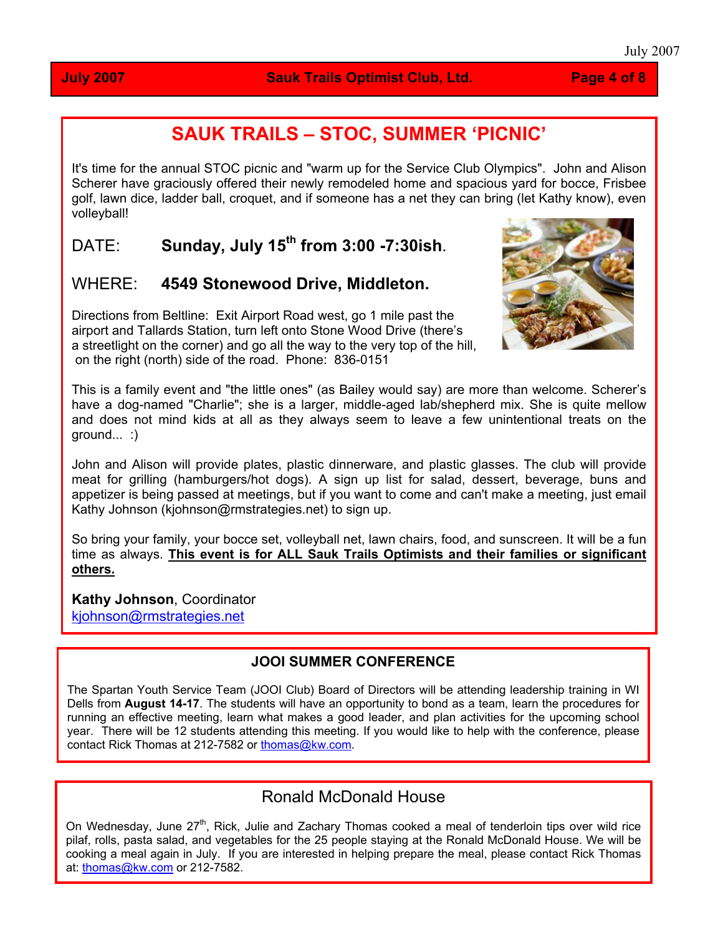#### **July 2007 Sauk Trails Optimist Club, Ltd. Page 4 of 8**

# **SAUK TRAILS – STOC, SUMMER 'PICNIC'**

It's time for the annual STOC picnic and "warm up for the Service Club Olympics". John and Alison Scherer have graciously offered their newly remodeled home and spacious yard for bocce, Frisbee golf, lawn dice, ladder ball, croquet, and if someone has a net they can bring (let Kathy know), even volleyball!

DATE: **Sunday, July 15th from 3:00 -7:30ish**.

## WHERE: **4549 Stonewood Drive, Middleton.**

Directions from Beltline: Exit Airport Road west, go 1 mile past the airport and Tallards Station, turn left onto Stone Wood Drive (there's a streetlight on the corner) and go all the way to the very top of the hill, on the right (north) side of the road. Phone: 836-0151



This is a family event and "the little ones" (as Bailey would say) are more than welcome. Scherer's have a dog-named "Charlie"; she is a larger, middle-aged lab/shepherd mix. She is quite mellow and does not mind kids at all as they always seem to leave a few unintentional treats on the ground... :)

appetizer is being passed at meetings, but if you want to come and can't make a meeting, just email Kathy Johnson (kjohnson@rmstrategies.net) to sign up. John and Alison will provide plates, plastic dinnerware, and plastic glasses. The club will provide meat for grilling (hamburgers/hot dogs). A sign up list for salad, dessert, beverage, buns and

time as always. This event is for ALL Sauk Trails Optimists and their families or significant So bring your family, your bocce set, volleyball net, lawn chairs, food, and sunscreen. It will be a fun **o thers.**

**[Kathy Johnson](mailto:kjohnson@rmstrategies.net)**, Coordinator kjohnson@rmstrategies.net

### **JOOI SUMMER CONFERENCE**

The Spartan Youth Service Team (JOOI Club) Board of Directors will be attending leadership training in WI Dells from **August 14-17**. The students will have an opportunity to bond as a team, learn the procedures for running an effective meeting, learn what makes a good leader, and plan activities for the upcoming school year. There will be 12 students attending this meeting. If you would like to help with the conference, please contact Rick Thomas at 212-7582 or [thomas@kw.com.](mailto:thomas@kw.com)

## Ronald McDonald House

On Wednesday, June 27<sup>th</sup>, Rick, Julie and Zachary Thomas cooked a meal of tenderloin tips over wild rice pilaf, rolls, pasta salad, and vegetables for the 25 people staying at the Ronald McDonald House. We will be cooking a meal again in July. If you are interested in helping prepare the meal, please contact Rick Thomas at: [thomas@kw.com](mailto:thomas@kw.com) or 212-7582.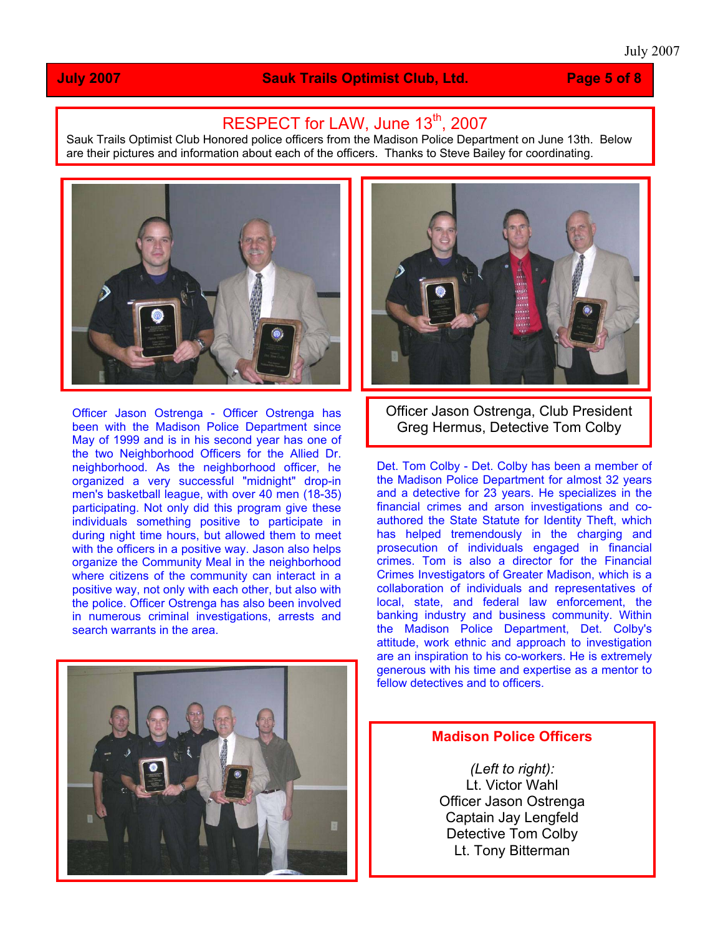### **July 2007 Sauk Trails Optimist Club, Ltd. Page 5 of 8**

## RESPECT for LAW, June 13<sup>th</sup>, 2007

Sauk Trails Optimist Club Honored police officers from the Madison Police Department on June 13th. Below are their pictures and information about each of the officers. Thanks to Steve Bailey for coordinating.



Officer Jason Ostrenga - Officer Ostrenga has been with the Madison Police Department since May of 1999 and is in his second year has one of the two Neighborhood Officers for the Allied Dr. neighborhood. As the neighborhood officer, he organized a very successful "midnight" drop-in men's basketball league, with over 40 men (18-35) participating. Not only did this program give these individuals something positive to participate in during night time hours, but allowed them to meet with the officers in a positive way. Jason also helps organize the Community Meal in the neighborhood where citizens of the community can interact in a positive way, not only with each other, but also with the police. Officer Ostrenga has also been involved in numerous criminal investigations, arrests and search warrants in the area.





Officer Jason Ostrenga, Club President Greg Hermus, Detective Tom Colby

Det. Tom Colby - Det. Colby has been a member of the Madison Police Department for almost 32 years and a detective for 23 years. He specializes in the financial crimes and arson investigations and coauthored the State Statute for Identity Theft, which has helped tremendously in the charging and prosecution of individuals engaged in financial crimes. Tom is also a director for the Financial Crimes Investigators of Greater Madison, which is a collaboration of individuals and representatives of local, state, and federal law enforcement, the banking industry and business community. Within the Madison Police Department, Det. Colby's attitude, work ethnic and approach to investigation are an inspiration to his co-workers. He is extremely generous with his time and expertise as a mentor to fellow detectives and to officers.

#### **Madison Police Officers**

*(Left to right):*  Lt. Victor Wahl Officer Jason Ostrenga Captain Jay Lengfeld Detective Tom Colby Lt. Tony Bitterman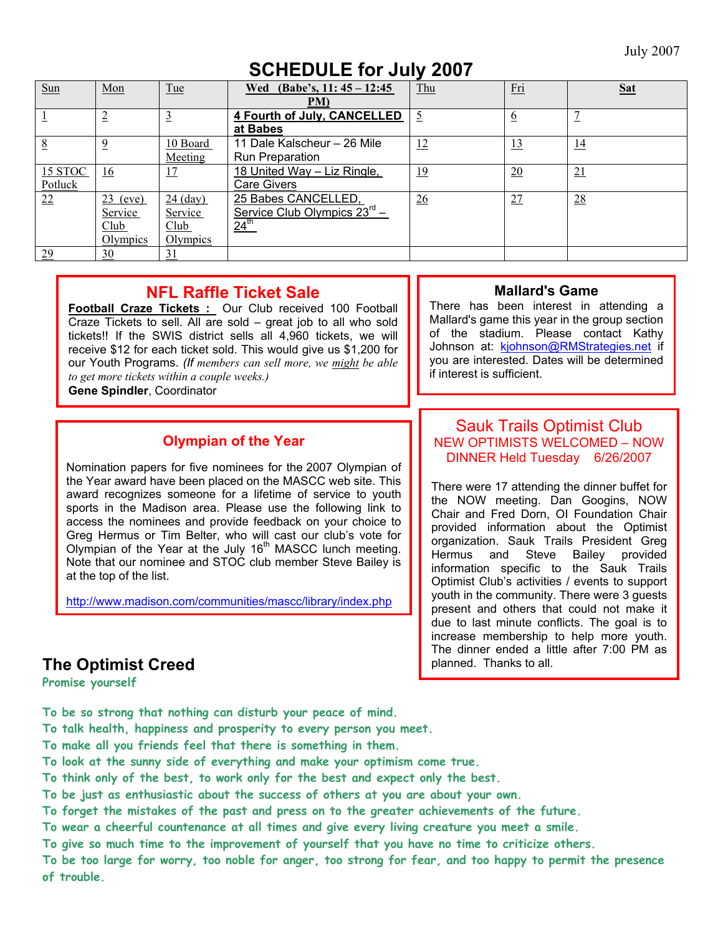# **SCHEDULE for July 2007**

| Sun                       | Mon                                     | Tue                                       | Wed (Babe's, $11:45 - 12:45$ )<br><b>PM</b>                                    | Thu       | Fri       | <b>Sat</b> |
|---------------------------|-----------------------------------------|-------------------------------------------|--------------------------------------------------------------------------------|-----------|-----------|------------|
|                           |                                         |                                           | 4 Fourth of July, CANCELLED<br>at Babes                                        | 5         |           |            |
| 8                         | <u>9</u>                                | 10 Board<br>Meeting                       | 11 Dale Kalscheur - 26 Mile<br><b>Run Preparation</b>                          | 12        | <u>13</u> | 14         |
| <b>15 STOC</b><br>Potluck | 16                                      | 17                                        | 18 United Way - Liz Ringle,<br><b>Care Givers</b>                              | <u>19</u> | 20        | 21         |
| 22                        | 23 (eve)<br>Service<br>Club<br>Olympics | $24$ (day)<br>Service<br>Club<br>Olympics | 25 Babes CANCELLED,<br>Service Club Olympics $23^{\text{rd}} - 24^{\text{th}}$ | 26        | 27        | 28         |
| 29                        | 30                                      | $\overline{31}$                           |                                                                                |           |           |            |

## **NFL Raffle Ticket Sale**

**Football Craze Tickets :** Our Club received 100 Football Craze Tickets to sell. All are sold – great job to all who sold tickets!! If the SWIS district sells all 4,960 tickets, we will receive \$12 for each ticket sold. This would give us \$1,200 for our Youth Programs. *(If members can sell more, we might be able to get more tickets within a couple weeks.)* **Gene Spindler**, Coordinator

### **Mallard's Game**

There has been interest in attending a Mallard's game this year in the group section of the stadium. Please contact Kathy Johnson at: [kjohnson@RMStrategies.net](mailto:kjohnson@RMStrategies.net) if you are interested. Dates will be determined if interest is sufficient.

## **Olympian of the Year**

Nomination papers for five nominees for the 2007 Olympian of the Year award have been placed on the MASCC web site. This award recognizes someone for a lifetime of service to youth sports in the Madison area. Please use the following link to access the nominees and provide feedback on your choice to Greg Hermus or Tim Belter, who will cast our club's vote for Olympian of the Year at the July 16<sup>th</sup> MASCC lunch meeting. Note that our nominee and STOC club member Steve Bailey is at the top of the list.

<http://www.madison.com/communities/mascc/library/index.php>

## **The Optimist Creed**

**Promise yourself** 

**To be so strong that nothing can disturb your peace of mind.** 

**To talk health, happiness and prosperity to every person you meet.** 

**To make all you friends feel that there is something in them.** 

**To look at the sunny side of everything and make your optimism come true.** 

**To think only of the best, to work only for the best and expect only the best.** 

**To be just as enthusiastic about the success of others at you are about your own.** 

**To forget the mistakes of the past and press on to the greater achievements of the future.** 

**To wear a cheerful countenance at all times and give every living creature you meet a smile.** 

**To give so much time to the improvement of yourself that you have no time to criticize others.** 

**To be too large for worry, too noble for anger, too strong for fear, and too happy to permit the presence of trouble.** 

## Sauk Trails Optimist Club NEW OPTIMISTS WELCOMED – NOW DINNER Held Tuesday 6/26/2007

There were 17 attending the dinner buffet for the NOW meeting. Dan Googins, NOW Chair and Fred Dorn, OI Foundation Chair provided information about the Optimist organization. Sauk Trails President Greg Hermus and Steve Bailey provided information specific to the Sauk Trails Optimist Club's activities / events to support youth in the community. There were 3 guests present and others that could not make it due to last minute conflicts. The goal is to increase membership to help more youth. The dinner ended a little after 7:00 PM as planned. Thanks to all.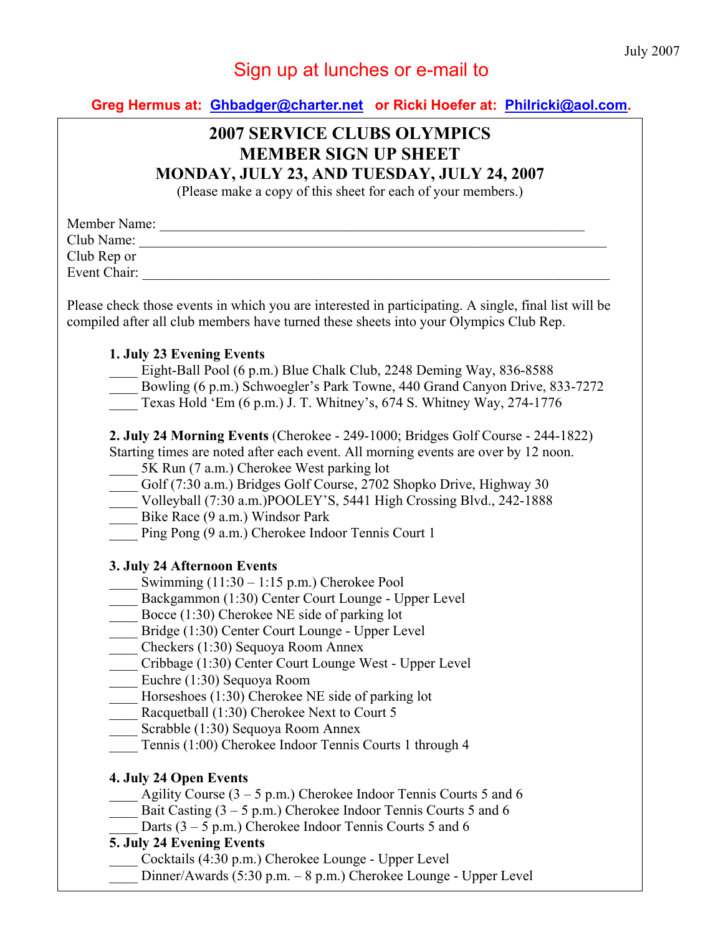# Sign up at lunches or e-mail to

**Greg Hermus at: [Ghbadger@charter.net](mailto:Ghbadger@charter.net) or Ricki Hoefer at: [Philricki@aol.com](mailto:Philricki@aol.com).** 

## **2007 SERVICE CLUBS OLYMPICS MEMBER SIGN UP SHEET MONDAY, JULY 23, AND TUESDAY, JULY 24, 2007**

(Please make a copy of this sheet for each of your members.)

| Member Name: |  |  |  |
|--------------|--|--|--|
| Club Name:   |  |  |  |
| Club Rep or  |  |  |  |
| Event Chair: |  |  |  |
|              |  |  |  |

Please check those events in which you are interested in participating. A single, final list will be compiled after all club members have turned these sheets into your Olympics Club Rep.

### **1. July 23 Evening Events**

- Eight-Ball Pool (6 p.m.) Blue Chalk Club, 2248 Deming Way, 836-8588
- Bowling (6 p.m.) Schwoegler's Park Towne, 440 Grand Canyon Drive, 833-7272
- Texas Hold 'Em (6 p.m.) J. T. Whitney's,  $674$  S. Whitney Way,  $274-1776$

**2. July 24 Morning Events** (Cherokee - 249-1000; Bridges Golf Course - 244-1822) Starting times are noted after each event. All morning events are over by 12 noon.

- 5K Run (7 a.m.) Cherokee West parking lot
- Golf (7:30 a.m.) Bridges Golf Course, 2702 Shopko Drive, Highway 30
- \_\_\_\_ Volleyball (7:30 a.m.)POOLEY'S, 5441 High Crossing Blvd., 242-1888
- Bike Race (9 a.m.) Windsor Park
- Ping Pong (9 a.m.) Cherokee Indoor Tennis Court 1

### **3. July 24 Afternoon Events**

- Swimming  $(11:30 1:15 \text{ p.m.})$  Cherokee Pool
- Backgammon (1:30) Center Court Lounge Upper Level
- Bocce  $(1:30)$  Cherokee NE side of parking lot
- Bridge (1:30) Center Court Lounge Upper Level
- \_\_\_\_ Checkers (1:30) Sequoya Room Annex
- \_\_\_\_ Cribbage (1:30) Center Court Lounge West Upper Level
- \_\_\_\_ Euchre (1:30) Sequoya Room
- \_\_\_\_ Horseshoes (1:30) Cherokee NE side of parking lot
- Racquetball (1:30) Cherokee Next to Court 5
- Scrabble (1:30) Sequoya Room Annex
- Tennis (1:00) Cherokee Indoor Tennis Courts 1 through 4

## **4. July 24 Open Events**

- Agility Course ( $3 5$  p.m.) Cherokee Indoor Tennis Courts 5 and 6
- Bait Casting  $(3 5 \text{ p.m.})$  Cherokee Indoor Tennis Courts 5 and 6
- Darts  $(3 5 p.m.)$  Cherokee Indoor Tennis Courts 5 and 6

### **5. July 24 Evening Events**

- Cocktails (4:30 p.m.) Cherokee Lounge Upper Level
- Dinner/Awards (5:30 p.m. 8 p.m.) Cherokee Lounge Upper Level